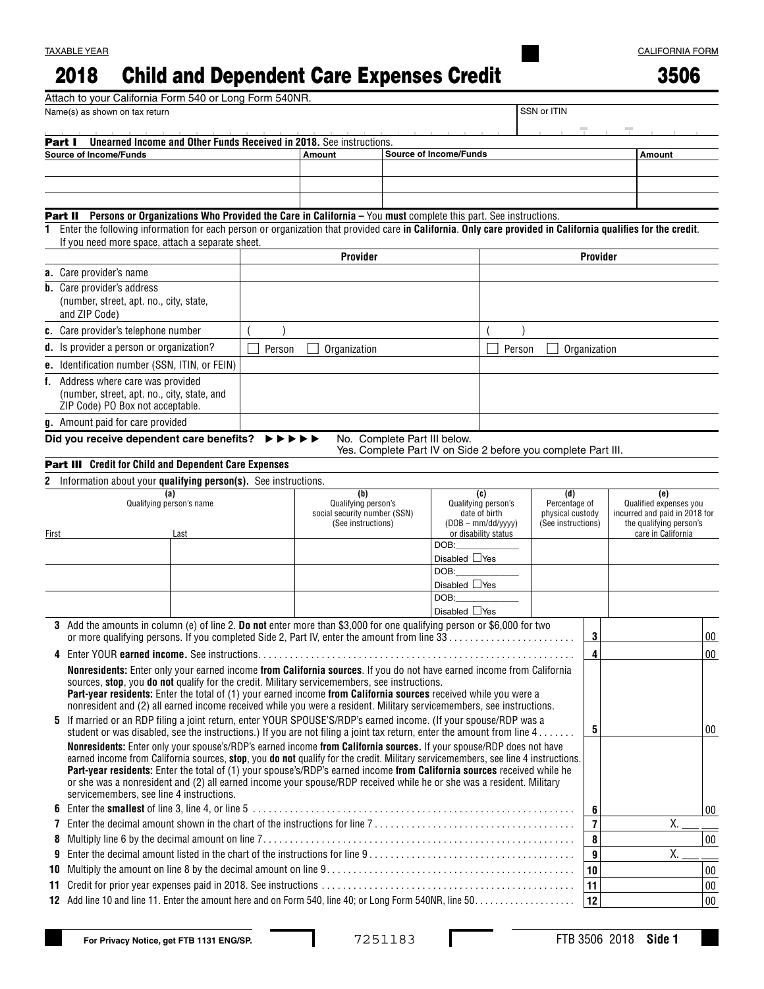## 2018 Child and Dependent Care Expenses Credit

|--|--|

|                         | Attach to your California Form 540 or Long Form 540NR.                                                                                                                                                                                                       |        |          |                    |                              |              |  |                                                               |                                                                                                        |               |                      |                                               |                               |                               |        |
|-------------------------|--------------------------------------------------------------------------------------------------------------------------------------------------------------------------------------------------------------------------------------------------------------|--------|----------|--------------------|------------------------------|--------------|--|---------------------------------------------------------------|--------------------------------------------------------------------------------------------------------|---------------|----------------------|-----------------------------------------------|-------------------------------|-------------------------------|--------|
|                         | Name(s) as shown on tax return                                                                                                                                                                                                                               |        |          |                    |                              |              |  |                                                               |                                                                                                        |               | SSN or ITIN          |                                               |                               |                               |        |
| Part I                  | <b>Unearned Income and Other Funds Received in 2018.</b> See instructions.                                                                                                                                                                                   |        |          |                    |                              |              |  |                                                               |                                                                                                        |               |                      |                                               |                               |                               |        |
|                         | <b>Source of Income/Funds</b>                                                                                                                                                                                                                                |        |          |                    | <b>Amount</b>                |              |  | <b>Source of Income/Funds</b>                                 |                                                                                                        |               |                      |                                               |                               | Amount                        |        |
|                         |                                                                                                                                                                                                                                                              |        |          |                    |                              |              |  |                                                               |                                                                                                        |               |                      |                                               |                               |                               |        |
|                         |                                                                                                                                                                                                                                                              |        |          |                    |                              |              |  |                                                               |                                                                                                        |               |                      |                                               |                               |                               |        |
|                         |                                                                                                                                                                                                                                                              |        |          |                    |                              |              |  |                                                               |                                                                                                        |               |                      |                                               |                               |                               |        |
|                         | Part II Persons or Organizations Who Provided the Care in California - You must complete this part. See instructions.                                                                                                                                        |        |          |                    |                              |              |  |                                                               |                                                                                                        |               |                      |                                               |                               |                               |        |
| 1                       | Enter the following information for each person or organization that provided care in California. Only care provided in California qualifies for the credit.<br>If you need more space, attach a separate sheet.                                             |        |          |                    |                              |              |  |                                                               |                                                                                                        |               |                      |                                               |                               |                               |        |
|                         |                                                                                                                                                                                                                                                              |        | Provider |                    |                              |              |  |                                                               |                                                                                                        | Provider      |                      |                                               |                               |                               |        |
| a. Care provider's name |                                                                                                                                                                                                                                                              |        |          |                    |                              |              |  |                                                               |                                                                                                        |               |                      |                                               |                               |                               |        |
|                         | <b>b.</b> Care provider's address                                                                                                                                                                                                                            |        |          |                    |                              |              |  |                                                               |                                                                                                        |               |                      |                                               |                               |                               |        |
|                         | (number, street, apt. no., city, state,                                                                                                                                                                                                                      |        |          |                    |                              |              |  |                                                               |                                                                                                        |               |                      |                                               |                               |                               |        |
|                         | and ZIP Code)                                                                                                                                                                                                                                                |        |          |                    |                              |              |  |                                                               |                                                                                                        |               |                      |                                               |                               |                               |        |
|                         | c. Care provider's telephone number                                                                                                                                                                                                                          |        |          |                    |                              |              |  |                                                               |                                                                                                        |               |                      |                                               |                               |                               |        |
|                         | d. Is provider a person or organization?                                                                                                                                                                                                                     | Person |          |                    |                              | Organization |  |                                                               |                                                                                                        | Person        |                      | Organization                                  |                               |                               |        |
|                         | e. Identification number (SSN, ITIN, or FEIN)                                                                                                                                                                                                                |        |          |                    |                              |              |  |                                                               |                                                                                                        |               |                      |                                               |                               |                               |        |
|                         | f. Address where care was provided                                                                                                                                                                                                                           |        |          |                    |                              |              |  |                                                               |                                                                                                        |               |                      |                                               |                               |                               |        |
|                         | (number, street, apt. no., city, state, and                                                                                                                                                                                                                  |        |          |                    |                              |              |  |                                                               |                                                                                                        |               |                      |                                               |                               |                               |        |
|                         | ZIP Code) PO Box not acceptable.                                                                                                                                                                                                                             |        |          |                    |                              |              |  |                                                               |                                                                                                        |               |                      |                                               |                               |                               |        |
|                         | g. Amount paid for care provided                                                                                                                                                                                                                             |        |          |                    |                              |              |  |                                                               |                                                                                                        |               |                      |                                               |                               |                               |        |
|                         | Did you receive dependent care benefits?                                                                                                                                                                                                                     |        | ▸▶       |                    |                              |              |  | No. Complete Part III below.                                  |                                                                                                        |               |                      |                                               |                               |                               |        |
|                         |                                                                                                                                                                                                                                                              |        |          |                    |                              |              |  | Yes. Complete Part IV on Side 2 before you complete Part III. |                                                                                                        |               |                      |                                               |                               |                               |        |
|                         | Part III Credit for Child and Dependent Care Expenses                                                                                                                                                                                                        |        |          |                    |                              |              |  |                                                               |                                                                                                        |               |                      |                                               |                               |                               |        |
| 2                       | Information about your qualifying person(s). See instructions.                                                                                                                                                                                               |        |          |                    |                              |              |  |                                                               |                                                                                                        |               |                      |                                               |                               |                               |        |
|                         | (a)<br>Qualifying person's name                                                                                                                                                                                                                              |        |          |                    | (b)<br>Qualifying person's   |              |  | (c)<br>Qualifying person's                                    |                                                                                                        |               | (d)<br>Percentage of |                                               |                               | (e)<br>Qualified expenses you |        |
|                         |                                                                                                                                                                                                                                                              |        |          |                    | social security number (SSN) |              |  |                                                               | date of birth<br>physical custody<br>$(DOB - mm/dd/yyy)$<br>(See instructions)<br>or disability status |               |                      |                                               | incurred and paid in 2018 for |                               |        |
| Last<br>First           |                                                                                                                                                                                                                                                              |        |          | (See instructions) |                              |              |  |                                                               |                                                                                                        |               |                      | the qualifying person's<br>care in California |                               |                               |        |
|                         |                                                                                                                                                                                                                                                              |        |          |                    |                              |              |  | DOB:                                                          |                                                                                                        |               |                      |                                               |                               |                               |        |
|                         |                                                                                                                                                                                                                                                              |        |          |                    |                              |              |  | Disabled $\Box$ Yes                                           |                                                                                                        |               |                      |                                               |                               |                               |        |
|                         |                                                                                                                                                                                                                                                              |        |          |                    |                              |              |  | DOB:                                                          |                                                                                                        |               |                      |                                               |                               |                               |        |
|                         |                                                                                                                                                                                                                                                              |        |          |                    |                              |              |  | Disabled $\Box$ Yes                                           |                                                                                                        |               |                      |                                               |                               |                               |        |
|                         |                                                                                                                                                                                                                                                              |        |          |                    |                              |              |  | DOB:                                                          |                                                                                                        |               |                      |                                               |                               |                               |        |
|                         | 3 Add the amounts in column (e) of line 2. Do not enter more than \$3,000 for one qualifying person or \$6,000 for two                                                                                                                                       |        |          |                    |                              |              |  | Disabled $\Box$ Yes                                           |                                                                                                        |               |                      |                                               |                               |                               |        |
|                         | or more qualifying persons. If you completed Side 2, Part IV, enter the amount from line 33                                                                                                                                                                  |        |          |                    |                              |              |  |                                                               |                                                                                                        |               |                      | 3                                             |                               |                               | 00     |
| 4                       |                                                                                                                                                                                                                                                              |        |          |                    |                              |              |  |                                                               |                                                                                                        | $\frac{4}{ }$ |                      |                                               | 00                            |                               |        |
|                         | Nonresidents: Enter only your earned income from California sources. If you do not have earned income from California                                                                                                                                        |        |          |                    |                              |              |  |                                                               |                                                                                                        |               |                      |                                               |                               |                               |        |
|                         | sources, stop, you do not qualify for the credit. Military servicemembers, see instructions.                                                                                                                                                                 |        |          |                    |                              |              |  |                                                               |                                                                                                        |               |                      |                                               |                               |                               |        |
|                         | Part-year residents: Enter the total of (1) your earned income from California sources received while you were a                                                                                                                                             |        |          |                    |                              |              |  |                                                               |                                                                                                        |               |                      |                                               |                               |                               |        |
|                         | nonresident and (2) all earned income received while you were a resident. Military servicemembers, see instructions.                                                                                                                                         |        |          |                    |                              |              |  |                                                               |                                                                                                        |               |                      |                                               |                               |                               |        |
|                         | 5 If married or an RDP filing a joint return, enter YOUR SPOUSE'S/RDP's earned income. (If your spouse/RDP was a                                                                                                                                             |        |          |                    |                              |              |  |                                                               |                                                                                                        |               |                      | 5                                             |                               |                               | 00     |
|                         | student or was disabled, see the instructions.) If you are not filing a joint tax return, enter the amount from line $4 \ldots \ldots$                                                                                                                       |        |          |                    |                              |              |  |                                                               |                                                                                                        |               |                      |                                               |                               |                               |        |
|                         | Nonresidents: Enter only your spouse's/RDP's earned income from California sources. If your spouse/RDP does not have                                                                                                                                         |        |          |                    |                              |              |  |                                                               |                                                                                                        |               |                      |                                               |                               |                               |        |
|                         | earned income from California sources, stop, you do not qualify for the credit. Military servicemembers, see line 4 instructions.<br>Part-year residents: Enter the total of (1) your spouse's/RDP's earned income from California sources received while he |        |          |                    |                              |              |  |                                                               |                                                                                                        |               |                      |                                               |                               |                               |        |
|                         | or she was a nonresident and (2) all earned income your spouse/RDP received while he or she was a resident. Military                                                                                                                                         |        |          |                    |                              |              |  |                                                               |                                                                                                        |               |                      |                                               |                               |                               |        |
|                         | servicemembers, see line 4 instructions.                                                                                                                                                                                                                     |        |          |                    |                              |              |  |                                                               |                                                                                                        |               |                      |                                               |                               |                               |        |
| 6                       |                                                                                                                                                                                                                                                              |        |          |                    |                              |              |  |                                                               |                                                                                                        |               |                      | 6                                             |                               |                               | 00     |
| 7                       |                                                                                                                                                                                                                                                              |        |          |                    |                              |              |  |                                                               |                                                                                                        |               | $\overline{7}$       |                                               | Χ.                            |                               |        |
| 8                       |                                                                                                                                                                                                                                                              |        |          |                    |                              |              |  |                                                               |                                                                                                        |               |                      | 8                                             |                               |                               | $00\,$ |
| 9                       |                                                                                                                                                                                                                                                              |        |          |                    |                              |              |  |                                                               |                                                                                                        |               |                      | $\boldsymbol{9}$                              |                               | Х.                            |        |
| 10                      |                                                                                                                                                                                                                                                              |        |          |                    |                              |              |  |                                                               |                                                                                                        |               |                      | 10                                            |                               |                               | $00\,$ |
| 11                      |                                                                                                                                                                                                                                                              |        |          |                    |                              |              |  |                                                               |                                                                                                        |               |                      | 11                                            |                               |                               | $00\,$ |
|                         |                                                                                                                                                                                                                                                              |        |          |                    |                              |              |  |                                                               |                                                                                                        |               |                      | 12                                            |                               |                               | $00\,$ |